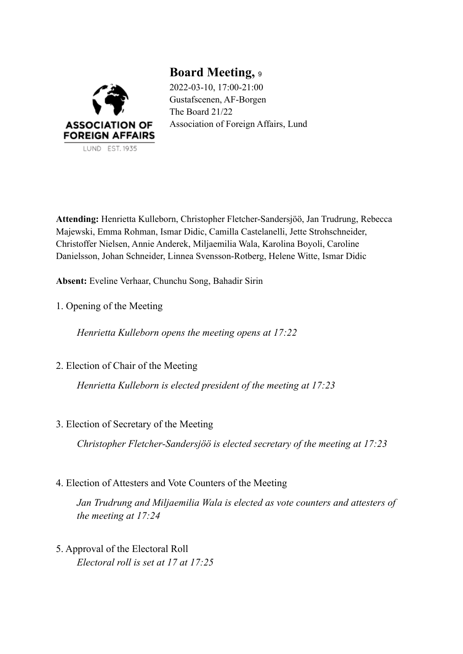

**Board Meeting,** <sup>9</sup> 2022-03-10, 17:00-21:00 Gustafscenen, AF-Borgen The Board 21/22 Association of Foreign Affairs, Lund

**Attending:** Henrietta Kulleborn, Christopher Fletcher-Sandersjöö, Jan Trudrung, Rebecca Majewski, Emma Rohman, Ismar Didic, Camilla Castelanelli, Jette Strohschneider, Christoffer Nielsen, Annie Anderek, Miljaemilia Wala, Karolina Boyoli, Caroline Danielsson, Johan Schneider, Linnea Svensson-Rotberg, Helene Witte, Ismar Didic

**Absent:** Eveline Verhaar, Chunchu Song, Bahadir Sirin

1. Opening of the Meeting

*Henrietta Kulleborn opens the meeting opens at 17:22*

2. Election of Chair of the Meeting

*Henrietta Kulleborn is elected president of the meeting at 17:23*

3. Election of Secretary of the Meeting

*Christopher Fletcher-Sandersjöö is elected secretary of the meeting at 17:23*

4. Election of Attesters and Vote Counters of the Meeting

*Jan Trudrung and Miljaemilia Wala is elected as vote counters and attesters of the meeting at 17:24*

5. Approval of the Electoral Roll *Electoral roll is set at 17 at 17:25*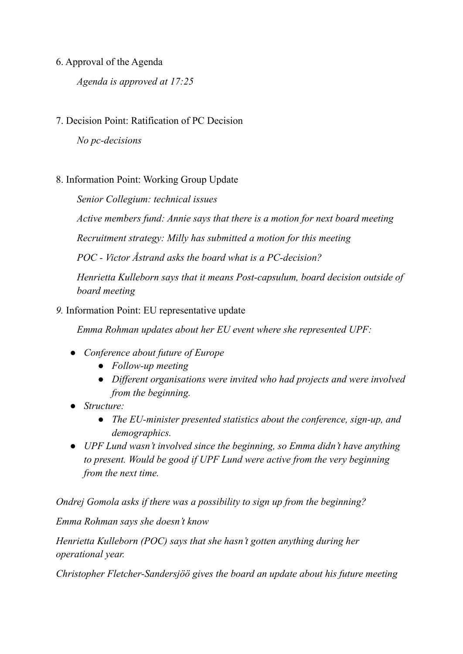## 6. Approval of the Agenda

*Agenda is approved at 17:25*

# 7. Decision Point: Ratification of PC Decision

*No pc-decisions*

## 8. Information Point: Working Group Update

*Senior Collegium: technical issues*

*Active members fund: Annie says that there is a motion for next board meeting*

*Recruitment strategy: Milly has submitted a motion for this meeting*

*POC - Victor Åstrand asks the board what is a PC-decision?*

*Henrietta Kulleborn says that it means Post-capsulum, board decision outside of board meeting*

### *9.* Information Point: EU representative update

*Emma Rohman updates about her EU event where she represented UPF:*

- *Conference about future of Europe*
	- *Follow-up meeting*
	- *Dif erent organisations were invited who had projects and were involved from the beginning.*
- *Structure:*
	- *The EU-minister presented statistics about the conference, sign-up, and demographics.*
- *UPF Lund wasn't involved since the beginning, so Emma didn't have anything to present. Would be good if UPF Lund were active from the very beginning from the next time.*

*Ondrej Gomola asks if there was a possibility to sign up from the beginning?*

*Emma Rohman says she doesn't know*

*Henrietta Kulleborn (POC) says that she hasn't gotten anything during her operational year.*

*Christopher Fletcher-Sandersjöö gives the board an update about his future meeting*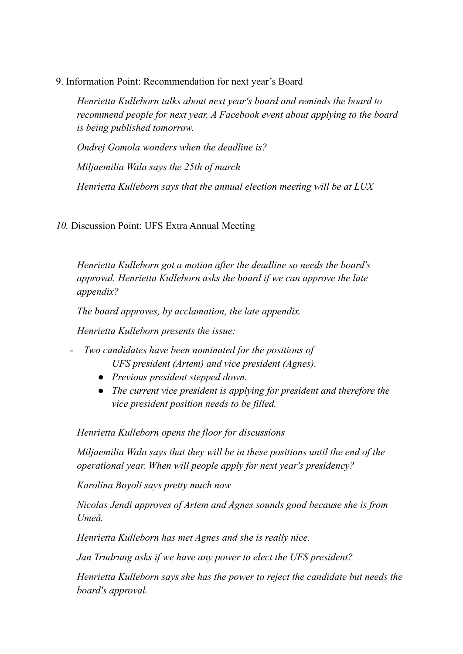9. Information Point: Recommendation for next year's Board

*Henrietta Kulleborn talks about next year's board and reminds the board to recommend people for next year. A Facebook event about applying to the board is being published tomorrow.*

*Ondrej Gomola wonders when the deadline is? Miljaemilia Wala says the 25th of march Henrietta Kulleborn says that the annual election meeting will be at LUX*

*10.* Discussion Point: UFS Extra Annual Meeting

*Henrietta Kulleborn got a motion after the deadline so needs the board's approval. Henrietta Kulleborn asks the board if we can approve the late appendix?*

*The board approves, by acclamation, the late appendix.*

*Henrietta Kulleborn presents the issue:*

- *- Two candidates have been nominated for the positions of UFS president (Artem) and vice president (Agnes).*
	- *Previous president stepped down.*
	- *The current vice president is applying for president and therefore the vice president position needs to be filled.*

*Henrietta Kulleborn opens the floor for discussions*

*Miljaemilia Wala says that they will be in these positions until the end of the operational year. When will people apply for next year's presidency?*

*Karolina Boyoli says pretty much now*

*Nicolas Jendi approves of Artem and Agnes sounds good because she is from Umeå.*

*Henrietta Kulleborn has met Agnes and she is really nice.*

*Jan Trudrung asks if we have any power to elect the UFS president?*

*Henrietta Kulleborn says she has the power to reject the candidate but needs the board's approval.*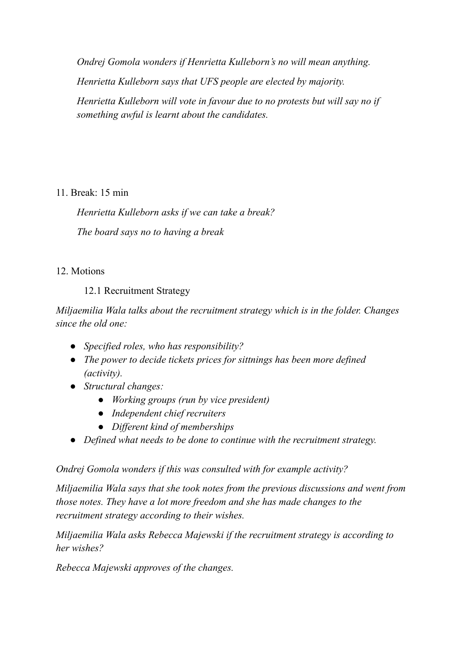*Ondrej Gomola wonders if Henrietta Kulleborn's no will mean anything.*

*Henrietta Kulleborn says that UFS people are elected by majority.*

*Henrietta Kulleborn will vote in favour due to no protests but will say no if something awful is learnt about the candidates.*

11. Break: 15 min

*Henrietta Kulleborn asks if we can take a break? The board says no to having a break*

# 12. Motions

12.1 Recruitment Strategy

*Miljaemilia Wala talks about the recruitment strategy which is in the folder. Changes since the old one:*

- *Specified roles, who has responsibility?*
- *The power to decide tickets prices for sittnings has been more defined (activity).*
- *Structural changes:*
	- *Working groups (run by vice president)*
	- *Independent chief recruiters*
	- *Dif erent kind of memberships*
- *Defined what needs to be done to continue with the recruitment strategy.*

*Ondrej Gomola wonders if this was consulted with for example activity?*

*Miljaemilia Wala says that she took notes from the previous discussions and went from those notes. They have a lot more freedom and she has made changes to the recruitment strategy according to their wishes.*

*Miljaemilia Wala asks Rebecca Majewski if the recruitment strategy is according to her wishes?*

*Rebecca Majewski approves of the changes.*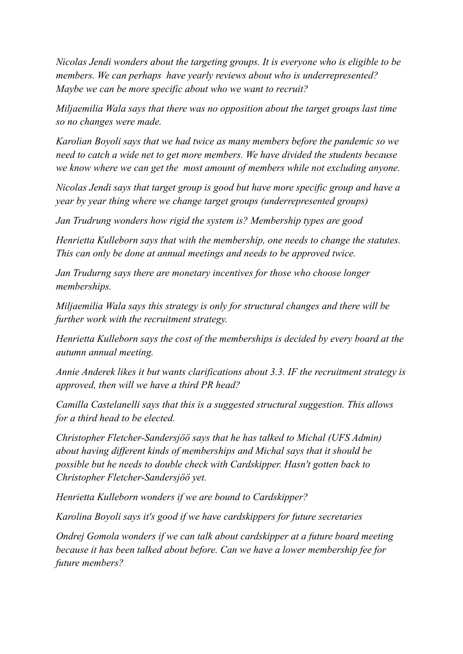*Nicolas Jendi wonders about the targeting groups. It is everyone who is eligible to be members. We can perhaps have yearly reviews about who is underrepresented? Maybe we can be more specific about who we want to recruit?*

*Miljaemilia Wala says that there was no opposition about the target groups last time so no changes were made.*

*Karolian Boyoli says that we had twice as many members before the pandemic so we need to catch a wide net to get more members. We have divided the students because we know where we can get the most amount of members while not excluding anyone.*

*Nicolas Jendi says that target group is good but have more specific group and have a year by year thing where we change target groups (underrepresented groups)*

*Jan Trudrung wonders how rigid the system is? Membership types are good*

*Henrietta Kulleborn says that with the membership, one needs to change the statutes. This can only be done at annual meetings and needs to be approved twice.*

*Jan Trudurng says there are monetary incentives for those who choose longer memberships.*

*Miljaemilia Wala says this strategy is only for structural changes and there will be further work with the recruitment strategy.*

*Henrietta Kulleborn says the cost of the memberships is decided by every board at the autumn annual meeting.*

*Annie Anderek likes it but wants clarifications about 3.3. IF the recruitment strategy is approved, then will we have a third PR head?*

*Camilla Castelanelli says that this is a suggested structural suggestion. This allows for a third head to be elected.*

*Christopher Fletcher-Sandersjöö says that he has talked to Michal (UFS Admin) about having dif erent kinds of memberships and Michal says that it should be possible but he needs to double check with Cardskipper. Hasn't gotten back to Christopher Fletcher-Sandersjöö yet.*

*Henrietta Kulleborn wonders if we are bound to Cardskipper?*

*Karolina Boyoli says it's good if we have cardskippers for future secretaries*

*Ondrej Gomola wonders if we can talk about cardskipper at a future board meeting because it has been talked about before. Can we have a lower membership fee for future members?*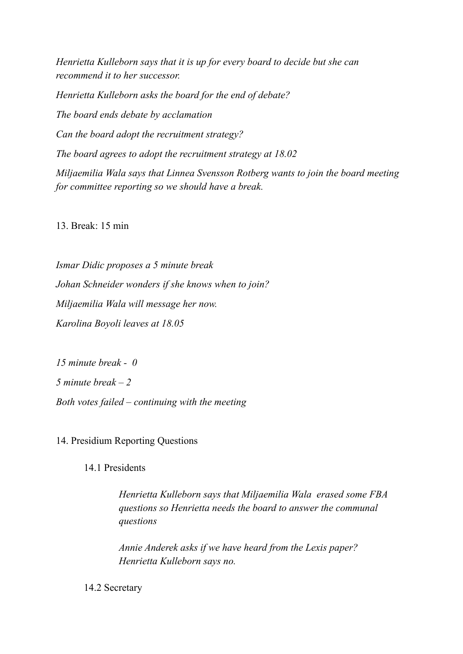*Henrietta Kulleborn says that it is up for every board to decide but she can recommend it to her successor.*

*Henrietta Kulleborn asks the board for the end of debate? The board ends debate by acclamation Can the board adopt the recruitment strategy? The board agrees to adopt the recruitment strategy at 18.02 Miljaemilia Wala says that Linnea Svensson Rotberg wants to join the board meeting for committee reporting so we should have a break.*

13. Break: 15 min

*Ismar Didic proposes a 5 minute break Johan Schneider wonders if she knows when to join? Miljaemilia Wala will message her now. Karolina Boyoli leaves at 18.05*

*15 minute break - 0 5 minute break – 2 Both votes failed – continuing with the meeting*

14. Presidium Reporting Questions

14.1 Presidents

*Henrietta Kulleborn says that Miljaemilia Wala erased some FBA questions so Henrietta needs the board to answer the communal questions*

*Annie Anderek asks if we have heard from the Lexis paper? Henrietta Kulleborn says no.*

14.2 Secretary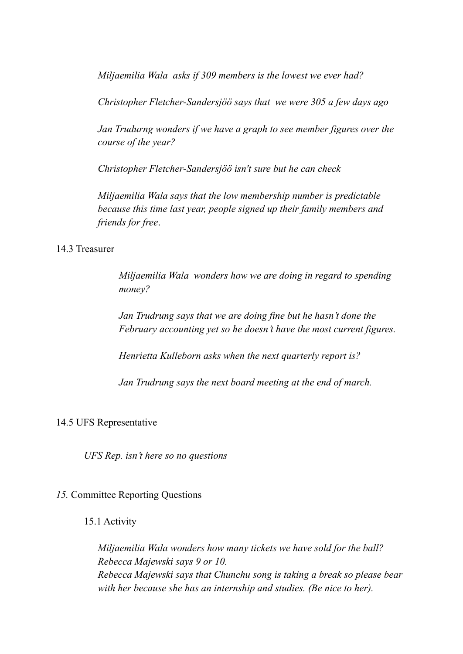*Miljaemilia Wala asks if 309 members is the lowest we ever had?*

*Christopher Fletcher-Sandersjöö says that we were 305 a few days ago*

*Jan Trudurng wonders if we have a graph to see member figures over the course of the year?*

*Christopher Fletcher-Sandersjöö isn't sure but he can check*

*Miljaemilia Wala says that the low membership number is predictable because this time last year, people signed up their family members and friends for free*.

### 14.3 Treasurer

*Miljaemilia Wala wonders how we are doing in regard to spending money?*

*Jan Trudrung says that we are doing fine but he hasn't done the February accounting yet so he doesn't have the most current figures.*

*Henrietta Kulleborn asks when the next quarterly report is?*

*Jan Trudrung says the next board meeting at the end of march.*

### 14.5 UFS Representative

*UFS Rep. isn't here so no questions*

### *15.* Committee Reporting Questions

### 15.1 Activity

*Miljaemilia Wala wonders how many tickets we have sold for the ball? Rebecca Majewski says 9 or 10. Rebecca Majewski says that Chunchu song is taking a break so please bear with her because she has an internship and studies. (Be nice to her).*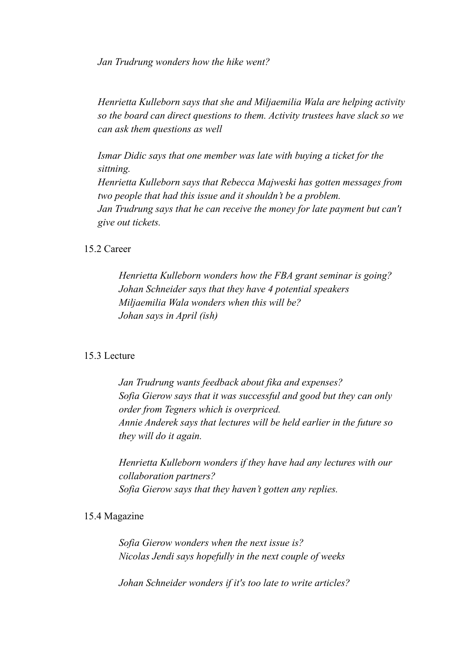*Jan Trudrung wonders how the hike went?*

*Henrietta Kulleborn says that she and Miljaemilia Wala are helping activity so the board can direct questions to them. Activity trustees have slack so we can ask them questions as well*

*Ismar Didic says that one member was late with buying a ticket for the sittning.*

*Henrietta Kulleborn says that Rebecca Majweski has gotten messages from two people that had this issue and it shouldn't be a problem. Jan Trudrung says that he can receive the money for late payment but can't give out tickets.*

#### 15.2 Career

*Henrietta Kulleborn wonders how the FBA grant seminar is going? Johan Schneider says that they have 4 potential speakers Miljaemilia Wala wonders when this will be? Johan says in April (ish)*

#### 15.3 Lecture

*Jan Trudrung wants feedback about fika and expenses? Sofia Gierow says that it was successful and good but they can only order from Tegners which is overpriced. Annie Anderek says that lectures will be held earlier in the future so they will do it again.*

*Henrietta Kulleborn wonders if they have had any lectures with our collaboration partners? Sofia Gierow says that they haven't gotten any replies.*

#### 15.4 Magazine

*Sofia Gierow wonders when the next issue is? Nicolas Jendi says hopefully in the next couple of weeks*

*Johan Schneider wonders if it's too late to write articles?*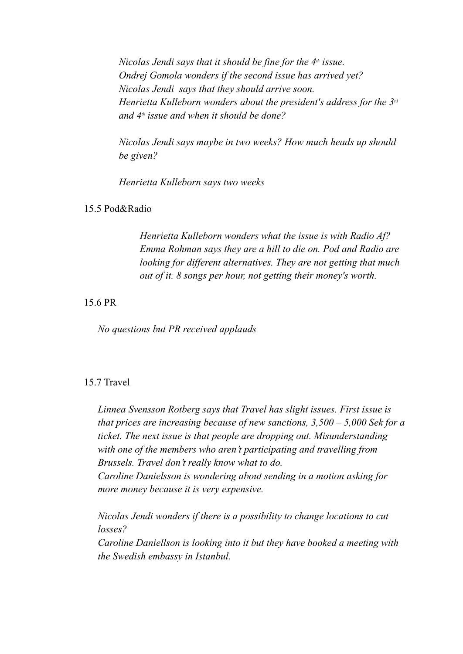*Nicolas Jendi says that it should be fine for the 4 th issue. Ondrej Gomola wonders if the second issue has arrived yet? Nicolas Jendi says that they should arrive soon. Henrietta Kulleborn wonders about the president's address for the 3 rd and 4 th issue and when it should be done?*

*Nicolas Jendi says maybe in two weeks? How much heads up should be given?*

*Henrietta Kulleborn says two weeks*

#### 15.5 Pod&Radio

*Henrietta Kulleborn wonders what the issue is with Radio Af? Emma Rohman says they are a hill to die on. Pod and Radio are looking for dif erent alternatives. They are not getting that much out of it. 8 songs per hour, not getting their money's worth.*

### 15.6 PR

*No questions but PR received applauds*

### 15.7 Travel

*Linnea Svensson Rotberg says that Travel has slight issues. First issue is that prices are increasing because of new sanctions, 3,500 – 5,000 Sek for a ticket. The next issue is that people are dropping out. Misunderstanding with one of the members who aren't participating and travelling from Brussels. Travel don't really know what to do. Caroline Danielsson is wondering about sending in a motion asking for*

*more money because it is very expensive.*

*Nicolas Jendi wonders if there is a possibility to change locations to cut losses? Caroline Daniellson is looking into it but they have booked a meeting with*

*the Swedish embassy in Istanbul.*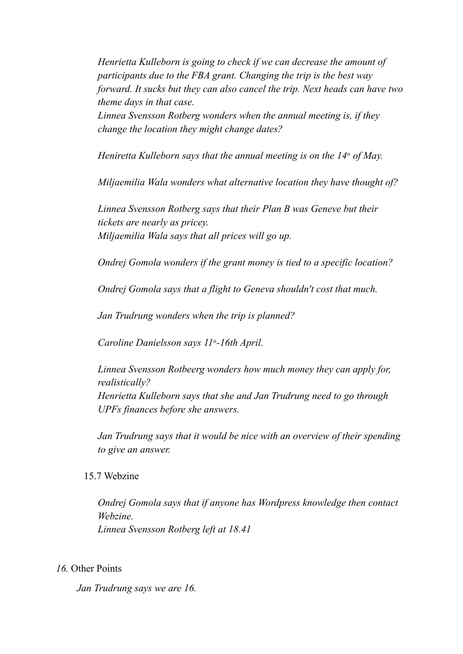*Henrietta Kulleborn is going to check if we can decrease the amount of participants due to the FBA grant. Changing the trip is the best way forward. It sucks but they can also cancel the trip. Next heads can have two theme days in that case.*

*Linnea Svensson Rotberg wonders when the annual meeting is, if they change the location they might change dates?*

*Heniretta Kulleborn says that the annual meeting is on the 14 th of May.*

*Miljaemilia Wala wonders what alternative location they have thought of?*

*Linnea Svensson Rotberg says that their Plan B was Geneve but their tickets are nearly as pricey. Miljaemilia Wala says that all prices will go up.*

*Ondrej Gomola wonders if the grant money is tied to a specific location?*

*Ondrej Gomola says that a flight to Geneva shouldn't cost that much.*

*Jan Trudrung wonders when the trip is planned?*

*Caroline Danielsson says 11 th-16th April.*

*Linnea Svensson Rotbeerg wonders how much money they can apply for, realistically? Henrietta Kulleborn says that she and Jan Trudrung need to go through UPFs finances before she answers.*

*Jan Trudrung says that it would be nice with an overview of their spending to give an answer.*

15.7 Webzine

*Ondrej Gomola says that if anyone has Wordpress knowledge then contact Webzine. Linnea Svensson Rotberg left at 18.41*

#### *16.* Other Points

*Jan Trudrung says we are 16.*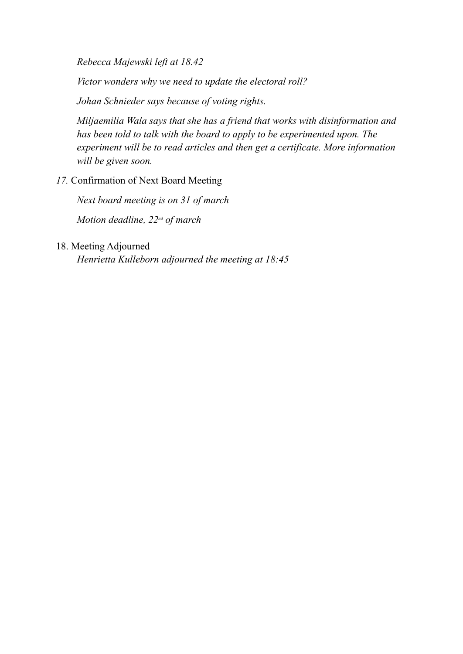*Rebecca Majewski left at 18.42*

*Victor wonders why we need to update the electoral roll?*

*Johan Schnieder says because of voting rights.*

*Miljaemilia Wala says that she has a friend that works with disinformation and has been told to talk with the board to apply to be experimented upon. The experiment will be to read articles and then get a certificate. More information will be given soon.*

# *17.* Confirmation of Next Board Meeting

*Next board meeting is on 31 of march Motion deadline, 22 nd of march*

## 18. Meeting Adjourned

*Henrietta Kulleborn adjourned the meeting at 18:45*